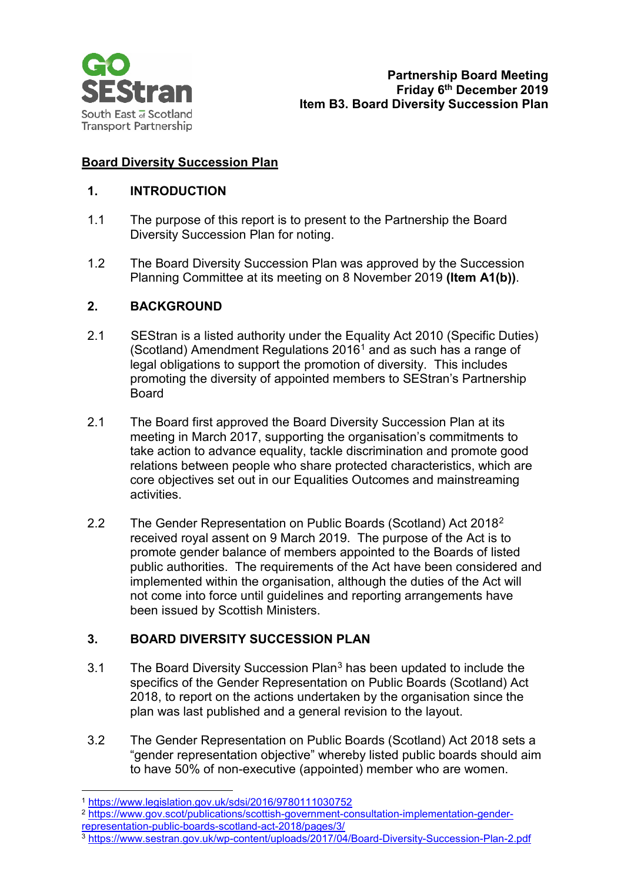

# **Board Diversity Succession Plan**

### **1. INTRODUCTION**

- 1.1 The purpose of this report is to present to the Partnership the Board Diversity Succession Plan for noting.
- 1.2 The Board Diversity Succession Plan was approved by the Succession Planning Committee at its meeting on 8 November 2019 **(Item A1(b))**.

## **2. BACKGROUND**

- 2.1 SEStran is a listed authority under the Equality Act 2010 (Specific Duties) (Scotland) Amendment Regulations 2016[1](#page-0-0) and as such has a range of legal obligations to support the promotion of diversity. This includes promoting the diversity of appointed members to SEStran's Partnership Board
- 2.1 The Board first approved the Board Diversity Succession Plan at its meeting in March 2017, supporting the organisation's commitments to take action to advance equality, tackle discrimination and promote good relations between people who share protected characteristics, which are core objectives set out in our Equalities Outcomes and mainstreaming activities.
- 2.2 The Gender Representation on Public Boards (Scotland) Act 2018[2](#page-0-1) received royal assent on 9 March 2019. The purpose of the Act is to promote gender balance of members appointed to the Boards of listed public authorities. The requirements of the Act have been considered and implemented within the organisation, although the duties of the Act will not come into force until guidelines and reporting arrangements have been issued by Scottish Ministers.

## **3. BOARD DIVERSITY SUCCESSION PLAN**

- [3](#page-0-2).1 The Board Diversity Succession Plan<sup>3</sup> has been updated to include the specifics of the Gender Representation on Public Boards (Scotland) Act 2018, to report on the actions undertaken by the organisation since the plan was last published and a general revision to the layout.
- 3.2 The Gender Representation on Public Boards (Scotland) Act 2018 sets a "gender representation objective" whereby listed public boards should aim to have 50% of non-executive (appointed) member who are women.

- <span id="page-0-1"></span><span id="page-0-0"></span><sup>2</sup> [https://www.gov.scot/publications/scottish-government-consultation-implementation-gender](https://www.gov.scot/publications/scottish-government-consultation-implementation-gender-representation-public-boards-scotland-act-2018/pages/3/)[representation-public-boards-scotland-act-2018/pages/3/](https://www.gov.scot/publications/scottish-government-consultation-implementation-gender-representation-public-boards-scotland-act-2018/pages/3/)
- <span id="page-0-2"></span><sup>3</sup> <https://www.sestran.gov.uk/wp-content/uploads/2017/04/Board-Diversity-Succession-Plan-2.pdf>

 <sup>1</sup> <https://www.legislation.gov.uk/sdsi/2016/9780111030752>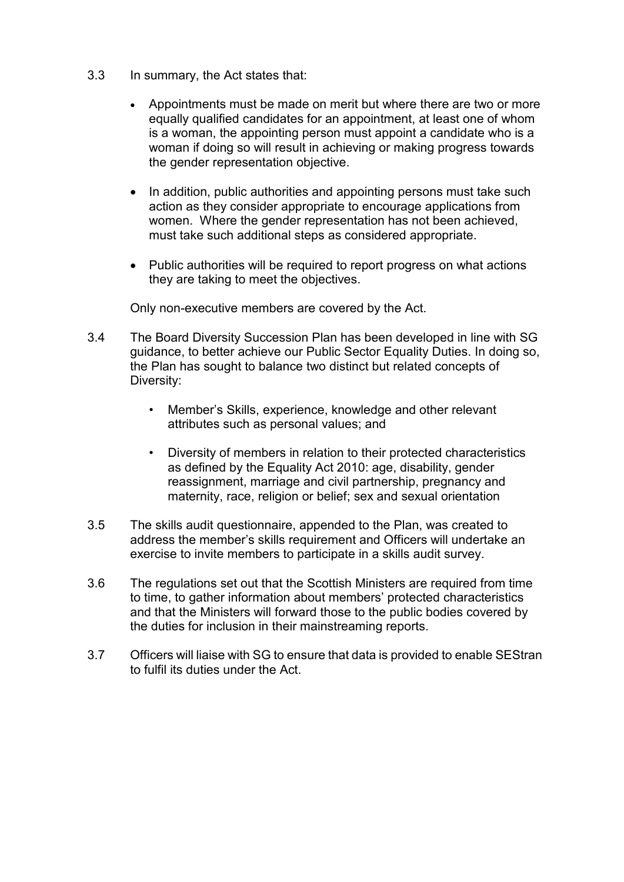- 3.3 In summary, the Act states that:
	- Appointments must be made on merit but where there are two or more equally qualified candidates for an appointment, at least one of whom is a woman, the appointing person must appoint a candidate who is a woman if doing so will result in achieving or making progress towards the gender representation objective.
	- In addition, public authorities and appointing persons must take such action as they consider appropriate to encourage applications from women. Where the gender representation has not been achieved, must take such additional steps as considered appropriate.
	- Public authorities will be required to report progress on what actions they are taking to meet the objectives.

Only non-executive members are covered by the Act.

- 3.4 The Board Diversity Succession Plan has been developed in line with SG guidance, to better achieve our Public Sector Equality Duties. In doing so, the Plan has sought to balance two distinct but related concepts of Diversity:
	- Member's Skills, experience, knowledge and other relevant attributes such as personal values; and
	- Diversity of members in relation to their protected characteristics as defined by the Equality Act 2010: age, disability, gender reassignment, marriage and civil partnership, pregnancy and maternity, race, religion or belief; sex and sexual orientation
- 3.5 The skills audit questionnaire, appended to the Plan, was created to address the member's skills requirement and Officers will undertake an exercise to invite members to participate in a skills audit survey.
- 3.6 The regulations set out that the Scottish Ministers are required from time to time, to gather information about members' protected characteristics and that the Ministers will forward those to the public bodies covered by the duties for inclusion in their mainstreaming reports.
- 3.7 Officers will liaise with SG to ensure that data is provided to enable SEStran to fulfil its duties under the Act.